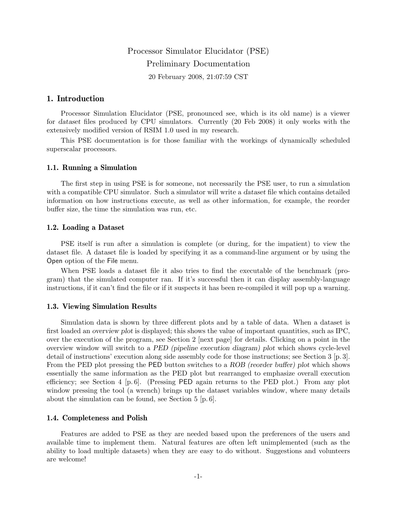# Processor Simulator Elucidator (PSE) Preliminary Documentation 20 February 2008, 21:07:59 CST

# 1. Introduction

Processor Simulation Elucidator (PSE, pronounced see, which is its old name) is a viewer for dataset files produced by CPU simulators. Currently (20 Feb 2008) it only works with the extensively modified version of RSIM 1.0 used in my research.

This PSE documentation is for those familiar with the workings of dynamically scheduled superscalar processors.

## 1.1. Running a Simulation

The first step in using PSE is for someone, not necessarily the PSE user, to run a simulation with a compatible CPU simulator. Such a simulator will write a *dataset* file which contains detailed information on how instructions execute, as well as other information, for example, the reorder buffer size, the time the simulation was run, etc.

#### 1.2. Loading a Dataset

PSE itself is run after a simulation is complete (or during, for the impatient) to view the dataset file. A dataset file is loaded by specifying it as a command-line argument or by using the Open option of the File menu.

When PSE loads a dataset file it also tries to find the executable of the benchmark (program) that the simulated computer ran. If it's successful then it can display assembly-language instructions, if it can't find the file or if it suspects it has been re-compiled it will pop up a warning.

#### 1.3. Viewing Simulation Results

Simulation data is shown by three different plots and by a table of data. When a dataset is first loaded an overview plot is displayed; this shows the value of important quantities, such as IPC, over the execution of the program, see Section 2 [next page] for details. Clicking on a point in the overview window will switch to a PED (pipeline execution diagram) plot which shows cycle-level detail of instructions' execution along side assembly code for those instructions; see Section 3 [p. 3]. From the PED plot pressing the PED button switches to a ROB (reorder buffer) plot which shows essentially the same information as the PED plot but rearranged to emphasize overall execution efficiency; see Section 4  $[p, 6]$ . (Pressing PED again returns to the PED plot.) From any plot window pressing the tool (a wrench) brings up the dataset variables window, where many details about the simulation can be found, see Section 5 [p. 6].

#### 1.4. Completeness and Polish

Features are added to PSE as they are needed based upon the preferences of the users and available time to implement them. Natural features are often left unimplemented (such as the ability to load multiple datasets) when they are easy to do without. Suggestions and volunteers are welcome!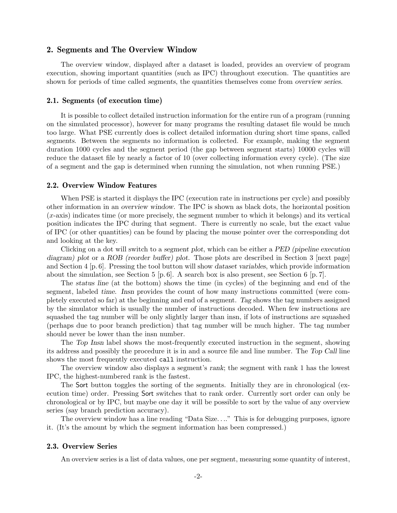# 2. Segments and The Overview Window

The overview window, displayed after a dataset is loaded, provides an overview of program execution, showing important quantities (such as IPC) throughout execution. The quantities are shown for periods of time called *segments*, the quantities themselves come from *overview series*.

## 2.1. Segments (of execution time)

It is possible to collect detailed instruction information for the entire run of a program (running on the simulated processor), however for many programs the resulting dataset file would be much too large. What PSE currently does is collect detailed information during short time spans, called segments. Between the segments no information is collected. For example, making the segment duration 1000 cycles and the segment period (the gap between segment starts) 10000 cycles will reduce the dataset file by nearly a factor of 10 (over collecting information every cycle). (The size of a segment and the gap is determined when running the simulation, not when running PSE.)

#### 2.2. Overview Window Features

When PSE is started it displays the IPC (execution rate in instructions per cycle) and possibly other information in an overview window. The IPC is shown as black dots, the horizontal position (x-axis) indicates time (or more precisely, the segment number to which it belongs) and its vertical position indicates the IPC during that segment. There is currently no scale, but the exact value of IPC (or other quantities) can be found by placing the mouse pointer over the corresponding dot and looking at the key.

Clicking on a dot will switch to a segment plot, which can be either a PED (pipeline execution diagram) plot or a ROB (reorder buffer) plot. Those plots are described in Section 3 [next page] and Section  $4 \times 6$ . Pressing the tool button will show dataset variables, which provide information about the simulation, see Section 5  $[p. 6]$ . A search box is also present, see Section 6  $[p. 7]$ .

The status line (at the bottom) shows the time (in cycles) of the beginning and end of the segment, labeled time. Insn provides the count of how many instructions committed (were completely executed so far) at the beginning and end of a segment. Tag shows the tag numbers assigned by the simulator which is usually the number of instructions decoded. When few instructions are squashed the tag number will be only slightly larger than insn, if lots of instructions are squashed (perhaps due to poor branch prediction) that tag number will be much higher. The tag number should never be lower than the insn number.

The Top Insn label shows the most-frequently executed instruction in the segment, showing its address and possibly the procedure it is in and a source file and line number. The Top Call line shows the most frequently executed call instruction.

The overview window also displays a segment's rank; the segment with rank 1 has the lowest IPC, the highest-numbered rank is the fastest.

The Sort button toggles the sorting of the segments. Initially they are in chronological (execution time) order. Pressing Sort switches that to rank order. Currently sort order can only be chronological or by IPC, but maybe one day it will be possible to sort by the value of any overview series (say branch prediction accuracy).

The overview window has a line reading "Data Size. . .." This is for debugging purposes, ignore it. (It's the amount by which the segment information has been compressed.)

#### 2.3. Overview Series

An overview series is a list of data values, one per segment, measuring some quantity of interest,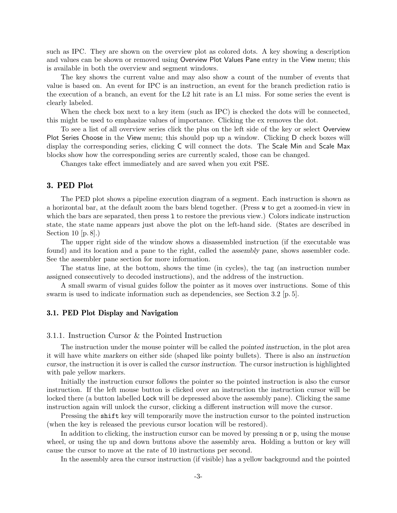such as IPC. They are shown on the overview plot as colored dots. A key showing a description and values can be shown or removed using Overview Plot Values Pane entry in the View menu; this is available in both the overview and segment windows.

The key shows the current value and may also show a count of the number of events that value is based on. An event for IPC is an instruction, an event for the branch prediction ratio is the execution of a branch, an event for the L2 hit rate is an L1 miss. For some series the event is clearly labeled.

When the check box next to a key item (such as IPC) is checked the dots will be connected, this might be used to emphasize values of importance. Clicking the ex removes the dot.

To see a list of all overview series click the plus on the left side of the key or select Overview Plot Series Choose in the View menu; this should pop up a window. Clicking D check boxes will display the corresponding series, clicking C will connect the dots. The Scale Min and Scale Max blocks show how the corresponding series are currently scaled, those can be changed.

Changes take effect immediately and are saved when you exit PSE.

# 3. PED Plot

The PED plot shows a pipeline execution diagram of a segment. Each instruction is shown as a horizontal bar, at the default zoom the bars blend together. (Press w to get a zoomed-in view in which the bars are separated, then press 1 to restore the previous view.) Colors indicate instruction state, the state name appears just above the plot on the left-hand side. (States are described in Section 10 [p. 8].)

The upper right side of the window shows a disassembled instruction (if the executable was found) and its location and a pane to the right, called the assembly pane, shows assembler code. See the assembler pane section for more information.

The status line, at the bottom, shows the time (in cycles), the tag (an instruction number assigned consecutively to decoded instructions), and the address of the instruction.

A small swarm of visual guides follow the pointer as it moves over instructions. Some of this swarm is used to indicate information such as dependencies, see Section 3.2 [p. 5].

## 3.1. PED Plot Display and Navigation

## 3.1.1. Instruction Cursor & the Pointed Instruction

The instruction under the mouse pointer will be called the pointed instruction, in the plot area it will have white markers on either side (shaped like pointy bullets). There is also an instruction cursor, the instruction it is over is called the cursor instruction. The cursor instruction is highlighted with pale yellow markers.

Initially the instruction cursor follows the pointer so the pointed instruction is also the cursor instruction. If the left mouse button is clicked over an instruction the instruction cursor will be locked there (a button labelled Lock will be depressed above the assembly pane). Clicking the same instruction again will unlock the cursor, clicking a different instruction will move the cursor.

Pressing the shift key will temporarily move the instruction cursor to the pointed instruction (when the key is released the previous cursor location will be restored).

In addition to clicking, the instruction cursor can be moved by pressing n or p, using the mouse wheel, or using the up and down buttons above the assembly area. Holding a button or key will cause the cursor to move at the rate of 10 instructions per second.

In the assembly area the cursor instruction (if visible) has a yellow background and the pointed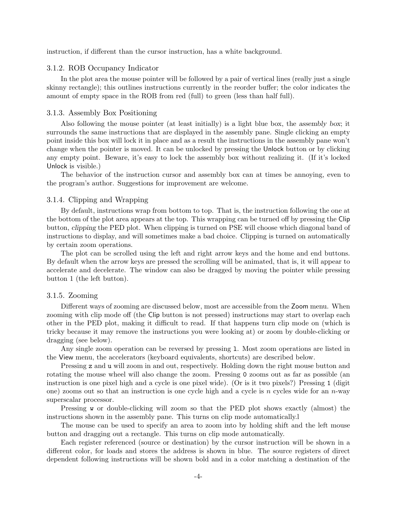instruction, if different than the cursor instruction, has a white background.

## 3.1.2. ROB Occupancy Indicator

In the plot area the mouse pointer will be followed by a pair of vertical lines (really just a single skinny rectangle); this outlines instructions currently in the reorder buffer; the color indicates the amount of empty space in the ROB from red (full) to green (less than half full).

#### 3.1.3. Assembly Box Positioning

Also following the mouse pointer (at least initially) is a light blue box, the assembly box; it surrounds the same instructions that are displayed in the assembly pane. Single clicking an empty point inside this box will lock it in place and as a result the instructions in the assembly pane won't change when the pointer is moved. It can be unlocked by pressing the Unlock button or by clicking any empty point. Beware, it's easy to lock the assembly box without realizing it. (If it's locked Unlock is visible.)

The behavior of the instruction cursor and assembly box can at times be annoying, even to the program's author. Suggestions for improvement are welcome.

#### 3.1.4. Clipping and Wrapping

By default, instructions wrap from bottom to top. That is, the instruction following the one at the bottom of the plot area appears at the top. This wrapping can be turned off by pressing the Clip button, clipping the PED plot. When clipping is turned on PSE will choose which diagonal band of instructions to display, and will sometimes make a bad choice. Clipping is turned on automatically by certain zoom operations.

The plot can be scrolled using the left and right arrow keys and the home and end buttons. By default when the arrow keys are pressed the scrolling will be animated, that is, it will appear to accelerate and decelerate. The window can also be dragged by moving the pointer while pressing button 1 (the left button).

#### 3.1.5. Zooming

Different ways of zooming are discussed below, most are accessible from the Zoom menu. When zooming with clip mode off (the Clip button is not pressed) instructions may start to overlap each other in the PED plot, making it difficult to read. If that happens turn clip mode on (which is tricky because it may remove the instructions you were looking at) or zoom by double-clicking or dragging (see below).

Any single zoom operation can be reversed by pressing l. Most zoom operations are listed in the View menu, the accelerators (keyboard equivalents, shortcuts) are described below.

Pressing z and u will zoom in and out, respectively. Holding down the right mouse button and rotating the mouse wheel will also change the zoom. Pressing 0 zooms out as far as possible (an instruction is one pixel high and a cycle is one pixel wide). (Or is it two pixels?) Pressing 1 (digit one) zooms out so that an instruction is one cycle high and a cycle is n cycles wide for an  $n$ -way superscalar processor.

Pressing w or double-clicking will zoom so that the PED plot shows exactly (almost) the instructions shown in the assembly pane. This turns on clip mode automatically.l

The mouse can be used to specify an area to zoom into by holding shift and the left mouse button and dragging out a rectangle. This turns on clip mode automatically.

Each register referenced (source or destination) by the cursor instruction will be shown in a different color, for loads and stores the address is shown in blue. The source registers of direct dependent following instructions will be shown bold and in a color matching a destination of the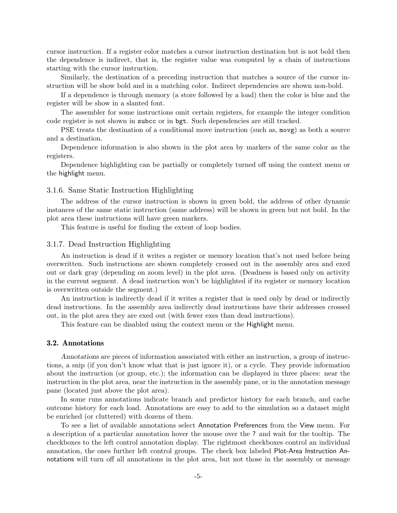cursor instruction. If a register color matches a cursor instruction destination but is not bold then the dependence is indirect, that is, the register value was computed by a chain of instructions starting with the cursor instruction.

Similarly, the destination of a preceding instruction that matches a source of the cursor instruction will be show bold and in a matching color. Indirect dependencies are shown non-bold.

If a dependence is through memory (a store followed by a load) then the color is blue and the register will be show in a slanted font.

The assembler for some instructions omit certain registers, for example the integer condition code register is not shown in subcc or in bgt. Such dependencies are still tracked.

PSE treats the destination of a conditional move instruction (such as, movg) as both a source and a destination.

Dependence information is also shown in the plot area by markers of the same color as the registers.

Dependence highlighting can be partially or completely turned off using the context menu or the highlight menu.

## 3.1.6. Same Static Instruction Highlighting

The address of the cursor instruction is shown in green bold, the address of other dynamic instances of the same static instruction (same address) will be shown in green but not bold. In the plot area these instructions will have green markers.

This feature is useful for finding the extent of loop bodies.

#### 3.1.7. Dead Instruction Highlighting

An instruction is dead if it writes a register or memory location that's not used before being overwritten. Such instructions are shown completely crossed out in the assembly area and exed out or dark gray (depending on zoom level) in the plot area. (Deadness is based only on activity in the current segment. A dead instruction won't be highlighted if its register or memory location is overwritten outside the segment.)

An instruction is indirectly dead if it writes a register that is used only by dead or indirectly dead instructions. In the assembly area indirectly dead instructions have their addresses crossed out, in the plot area they are exed out (with fewer exes than dead instructions).

This feature can be disabled using the context menu or the Highlight menu.

# 3.2. Annotations

Annotations are pieces of information associated with either an instruction, a group of instructions, a snip (if you don't know what that is just ignore it), or a cycle. They provide information about the instruction (or group, etc.); the information can be displayed in three places: near the instruction in the plot area, near the instruction in the assembly pane, or in the annotation message pane (located just above the plot area).

In some runs annotations indicate branch and predictor history for each branch, and cache outcome history for each load. Annotations are easy to add to the simulation so a dataset might be enriched (or cluttered) with dozens of them.

To see a list of available annotations select Annotation Preferences from the View menu. For a description of a particular annotation hover the mouse over the ? and wait for the tooltip. The checkboxes to the left control annotation display. The rightmost checkboxes control an individual annotation, the ones further left control groups. The check box labeled Plot-Area Instruction Annotations will turn off all annotations in the plot area, but not those in the assembly or message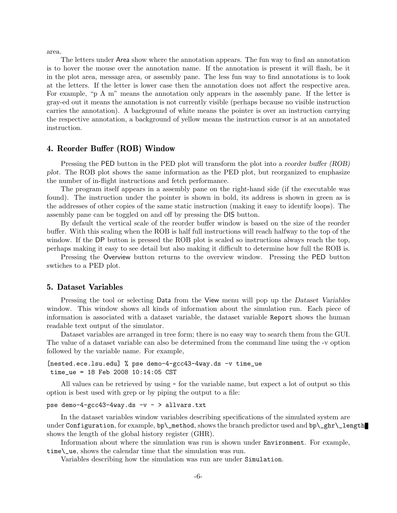area.

The letters under Area show where the annotation appears. The fun way to find an annotation is to hover the mouse over the annotation name. If the annotation is present it will flash, be it in the plot area, message area, or assembly pane. The less fun way to find annotations is to look at the letters. If the letter is lower case then the annotation does not affect the respective area. For example, "p A m" means the annotation only appears in the assembly pane. If the letter is gray-ed out it means the annotation is not currently visible (perhaps because no visible instruction carries the annotation). A background of white means the pointer is over an instruction carrying the respective annotation, a background of yellow means the instruction cursor is at an annotated instruction.

## 4. Reorder Buffer (ROB) Window

Pressing the PED button in the PED plot will transform the plot into a reorder buffer (ROB) plot. The ROB plot shows the same information as the PED plot, but reorganized to emphasize the number of in-flight instructions and fetch performance.

The program itself appears in a assembly pane on the right-hand side (if the executable was found). The instruction under the pointer is shown in bold, its address is shown in green as is the addresses of other copies of the same static instruction (making it easy to identify loops). The assembly pane can be toggled on and off by pressing the DIS button.

By default the vertical scale of the reorder buffer window is based on the size of the reorder buffer. With this scaling when the ROB is half full instructions will reach halfway to the top of the window. If the DP button is pressed the ROB plot is scaled so instructions always reach the top, perhaps making it easy to see detail but also making it difficult to determine how full the ROB is.

Pressing the Overview button returns to the overview window. Pressing the PED button swtiches to a PED plot.

#### 5. Dataset Variables

Pressing the tool or selecting Data from the View menu will pop up the Dataset Variables window. This window shows all kinds of information about the simulation run. Each piece of information is associated with a dataset variable, the dataset variable Report shows the human readable text output of the simulator.

Dataset variables are arranged in tree form; there is no easy way to search them from the GUI. The value of a dataset variable can also be determined from the command line using the -v option followed by the variable name. For example,

```
[nested.ece.lsu.edu] % pse demo-4-gcc43-4way.ds -v time_ue
time_ue = 18 Feb 2008 10:14:05 CST
```
All values can be retrieved by using - for the variable name, but expect a lot of output so this option is best used with grep or by piping the output to a file:

```
pse demo-4-gcc43-4way.ds -v - > allvars.txt
```
In the dataset variables window variables describing specifications of the simulated system are under Configuration, for example, bp\\_method, shows the branch predictor used and bp\\_ghr\\_length shows the length of the global history register (GHR).

Information about where the simulation was run is shown under Environment. For example, time\\_ue, shows the calendar time that the simulation was run.

Variables describing how the simulation was run are under Simulation.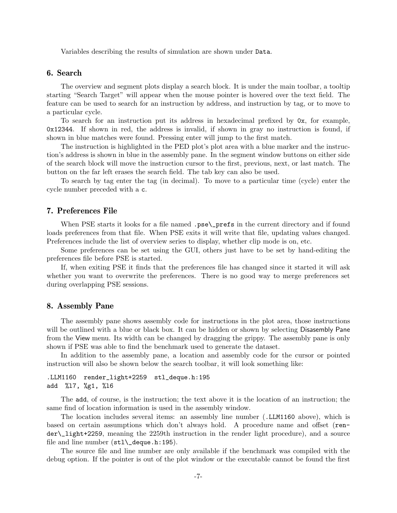Variables describing the results of simulation are shown under Data.

# 6. Search

The overview and segment plots display a search block. It is under the main toolbar, a tooltip starting "Search Target" will appear when the mouse pointer is hovered over the text field. The feature can be used to search for an instruction by address, and instruction by tag, or to move to a particular cycle.

To search for an instruction put its address in hexadecimal prefixed by 0x, for example, 0x12344. If shown in red, the address is invalid, if shown in gray no instruction is found, if shown in blue matches were found. Pressing enter will jump to the first match.

The instruction is highlighted in the PED plot's plot area with a blue marker and the instruction's address is shown in blue in the assembly pane. In the segment window buttons on either side of the search block will move the instruction cursor to the first, previous, next, or last match. The button on the far left erases the search field. The tab key can also be used.

To search by tag enter the tag (in decimal). To move to a particular time (cycle) enter the cycle number preceded with a c.

## 7. Preferences File

When PSE starts it looks for a file named .pse\prefs in the current directory and if found loads preferences from that file. When PSE exits it will write that file, updating values changed. Preferences include the list of overview series to display, whether clip mode is on, etc.

Some preferences can be set using the GUI, others just have to be set by hand-editing the preferences file before PSE is started.

If, when exiting PSE it finds that the preferences file has changed since it started it will ask whether you want to overwrite the preferences. There is no good way to merge preferences set during overlapping PSE sessions.

# 8. Assembly Pane

The assembly pane shows assembly code for instructions in the plot area, those instructions will be outlined with a blue or black box. It can be hidden or shown by selecting Disasembly Pane from the View menu. Its width can be changed by dragging the grippy. The assembly pane is only shown if PSE was able to find the benchmark used to generate the dataset.

In addition to the assembly pane, a location and assembly code for the cursor or pointed instruction will also be shown below the search toolbar, it will look something like:

```
.LLM1160 render_light+2259 stl_deque.h:195
add %l7, %g1, %l6
```
The add, of course, is the instruction; the text above it is the location of an instruction; the same find of location information is used in the assembly window.

The location includes several items: an assembly line number (.LLM1160 above), which is based on certain assumptions which don't always hold. A procedure name and offset (render\\_light+2259, meaning the 2259th instruction in the render light procedure), and a source file and line number  $(\text{stl}\text{-}\text{degree.h}:195)$ .

The source file and line number are only available if the benchmark was compiled with the debug option. If the pointer is out of the plot window or the executable cannot be found the first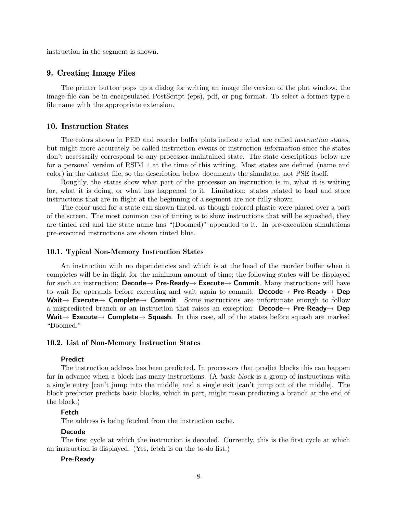instruction in the segment is shown.

## 9. Creating Image Files

The printer button pops up a dialog for writing an image file version of the plot window, the image file can be in encapsulated PostScript (eps), pdf, or png format. To select a format type a file name with the appropriate extension.

# 10. Instruction States

The colors shown in PED and reorder buffer plots indicate what are called instruction states, but might more accurately be called instruction events or instruction information since the states don't necessarily correspond to any processor-maintained state. The state descriptions below are for a personal version of RSIM 1 at the time of this writing. Most states are defined (name and color) in the dataset file, so the description below documents the simulator, not PSE itself.

Roughly, the states show what part of the processor an instruction is in, what it is waiting for, what it is doing, or what has happened to it. Limitation: states related to load and store instructions that are in flight at the beginning of a segment are not fully shown.

The color used for a state can shown tinted, as though colored plastic were placed over a part of the screen. The most common use of tinting is to show instructions that will be squashed, they are tinted red and the state name has "(Doomed)" appended to it. In pre-execution simulations pre-executed instructions are shown tinted blue.

#### 10.1. Typical Non-Memory Instruction States

An instruction with no dependencies and which is at the head of the reorder buffer when it completes will be in flight for the minimum amount of time; the following states will be displayed for such an instruction: **Decode→ Pre-Ready→ Execute→ Commit**. Many instructions will have to wait for operands before executing and wait again to commit: **Decode**  $\rightarrow$  **Pre-Ready**  $\rightarrow$  **Dep** Wait→ Execute→ Complete→ Commit. Some instructions are unfortunate enough to follow a mispredicted branch or an instruction that raises an exception: **Decode**  $\rightarrow$  **Pre-Ready**  $\rightarrow$  **Dep** Wait $\rightarrow$  Execute $\rightarrow$  Complete $\rightarrow$  Squash. In this case, all of the states before squash are marked "Doomed."

#### 10.2. List of Non-Memory Instruction States

## Predict

The instruction address has been predicted. In processors that predict blocks this can happen far in advance when a block has many instructions. (A basic block is a group of instructions with a single entry [can't jump into the middle] and a single exit [can't jump out of the middle]. The block predictor predicts basic blocks, which in part, might mean predicting a branch at the end of the block.)

## Fetch

The address is being fetched from the instruction cache.

# Decode

The first cycle at which the instruction is decoded. Currently, this is the first cycle at which an instruction is displayed. (Yes, fetch is on the to-do list.)

#### Pre-Ready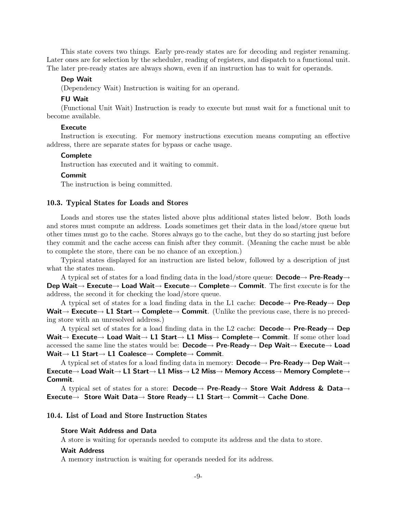This state covers two things. Early pre-ready states are for decoding and register renaming. Later ones are for selection by the scheduler, reading of registers, and dispatch to a functional unit. The later pre-ready states are always shown, even if an instruction has to wait for operands.

#### Dep Wait

(Dependency Wait) Instruction is waiting for an operand.

#### FU Wait

(Functional Unit Wait) Instruction is ready to execute but must wait for a functional unit to become available.

# **Execute**

Instruction is executing. For memory instructions execution means computing an effective address, there are separate states for bypass or cache usage.

#### **Complete**

Instruction has executed and it waiting to commit.

#### Commit

The instruction is being committed.

## 10.3. Typical States for Loads and Stores

Loads and stores use the states listed above plus additional states listed below. Both loads and stores must compute an address. Loads sometimes get their data in the load/store queue but other times must go to the cache. Stores always go to the cache, but they do so starting just before they commit and the cache access can finish after they commit. (Meaning the cache must be able to complete the store, there can be no chance of an exception.)

Typical states displayed for an instruction are listed below, followed by a description of just what the states mean.

A typical set of states for a load finding data in the load/store queue: **Decode**  $\rightarrow$  **Pre-Ready** Dep Wait→ Execute→ Load Wait→ Execute→ Complete→ Commit. The first execute is for the address, the second it for checking the load/store queue.

A typical set of states for a load finding data in the L1 cache: Decode  $\rightarrow$  Pre-Ready  $\rightarrow$  Dep Wait $\rightarrow$  Execute $\rightarrow$  L1 Start $\rightarrow$  Complete $\rightarrow$  Commit. (Unlike the previous case, there is no preceding store with an unresolved address.)

A typical set of states for a load finding data in the L2 cache: **Decode**  $\rightarrow$  **Pre-Ready**  $\rightarrow$  **Dep** Wait→ Execute→ Load Wait→ L1 Start→ L1 Miss→ Complete→ Commit. If some other load accessed the same line the states would be: Decode→ Pre-Ready→ Dep Wait→ Execute→ Load Wait→ L1 Start→ L1 Coalesce→ Complete→ Commit.

A typical set of states for a load finding data in memory: **Decode**  $\rightarrow$  **Pre-Ready** $\rightarrow$  **Dep Wait** $\rightarrow$ Execute→ Load Wait→ L1 Start→ L1 Miss→ L2 Miss→ Memory Access→ Memory Complete→ Commit.

A typical set of states for a store: Decode $\rightarrow$  Pre-Ready $\rightarrow$  Store Wait Address & Data $\rightarrow$ Execute→ Store Wait Data→ Store Ready→ L1 Start→ Commit→ Cache Done.

# 10.4. List of Load and Store Instruction States

## Store Wait Address and Data

A store is waiting for operands needed to compute its address and the data to store.

# Wait Address

A memory instruction is waiting for operands needed for its address.